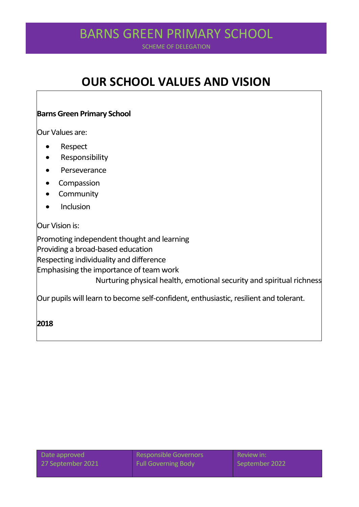# BARNING GREEN PRIMARY SCHOOL BARNS GREEN PRIMARY SCHOOL

SCHEME OF DELEGATION

# **OUR SCHOOL VALUES AND VISION**

#### **Barns Green Primary School**

Our Values are:

- Respect
- **•** Responsibility
- Perseverance
- Compassion
- Community
- Inclusion

#### Our Vision is:

Promoting independent thought and learning Providing a broad-based education Respecting individuality and difference Emphasising the importance of team work Nurturing physical health, emotional security and spiritual richness Our pupils will learn to become self-confident, enthusiastic, resilient and tolerant.

**2018**

Date approved Responsible Governors Review in: 27 September 2021 Full Governing Body September 2022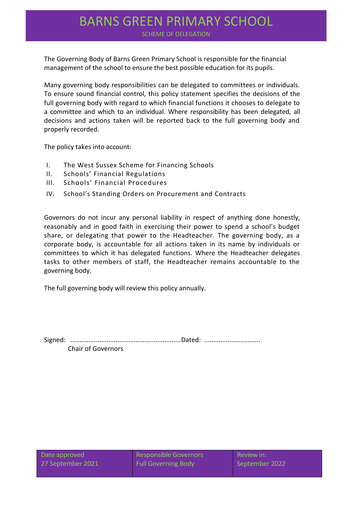### BARNING GIVELIN FININIARY SCHOOL BARNS GREEN PRIMARY SCHOOL

SCHEME OF DELEGATION

The Governing Body of Barns Green Primary School is responsible for the financial management of the school to ensure the best possible education for its pupils.

Many governing body responsibilities can be delegated to committees or individuals. To ensure sound financial control, this policy statement specifies the decisions of the full governing body with regard to which financial functions it chooses to delegate to a committee and which to an individual. Where responsibility has been delegated, all decisions and actions taken will be reported back to the full governing body and properly recorded.

The policy takes into account:

- I. The West Sussex Scheme for Financing Schools
- II. Schools' Financial Regulations
- III. Schools' Financial Procedures
- IV. School's Standing Orders on Procurement and Contracts

Governors do not incur any personal liability in respect of anything done honestly, reasonably and in good faith in exercising their power to spend a school's budget share, or delegating that power to the Headteacher. The governing body, as a corporate body, is accountable for all actions taken in its name by individuals or committees to which it has delegated functions. Where the Headteacher delegates tasks to other members of staff, the Headteacher remains accountable to the governing body.

The full governing body will review this policy annually.

Signed: .............................................................Dated: ............................... Chair of Governors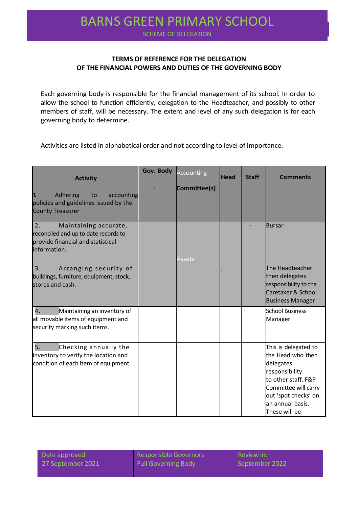# BARNING GIVEEN FINING INTO SCHOOL BARNS GREEN PRIMARY SCHOOL

SCHEME OF DELEGATION

#### **TERMS OF REFERENCE FOR THE DELEGATION OF THE FINANCIAL POWERS AND DUTIES OF THE GOVERNING BODY**

Each governing body is responsible for the financial management of its school. In order to allow the school to function efficiently, delegation to the Headteacher, and possibly to other members of staff, will be necessary. The extent and level of any such delegation is for each governing body to determine.

Activities are listed in alphabetical order and not according to level of importance.

| <b>Activity</b>                                                                                                                                                                                                        | Gov. Body | <b>Accounting</b> | <b>Head</b> | <b>Staff</b> | <b>Comments</b>                                                                                                                                                                      |
|------------------------------------------------------------------------------------------------------------------------------------------------------------------------------------------------------------------------|-----------|-------------------|-------------|--------------|--------------------------------------------------------------------------------------------------------------------------------------------------------------------------------------|
| $\vert$ 1<br>Adhering<br>to<br>accounting<br>policies and guidelines issued by the<br><b>County Treasurer</b>                                                                                                          |           | Committee(s)      |             |              |                                                                                                                                                                                      |
| 2.<br>Maintaining accurate,<br>reconciled and up to date records to<br>provide financial and statistical<br>information.<br>3.<br>Arranging security of<br>buildings, furniture, equipment, stock,<br>stores and cash. |           | <b>Assets</b>     |             |              | <b>Bursar</b><br>The Headteacher<br>then delegates<br>responsibility to the<br>Caretaker & School<br><b>Business Manager</b>                                                         |
| 4.<br>Maintaining an inventory of<br>all movable items of equipment and<br>security marking such items.                                                                                                                |           |                   |             | v.           | <b>School Business</b><br>Manager                                                                                                                                                    |
| 5.<br>Checking annually the<br>inventory to verify the location and<br>condition of each item of equipment.                                                                                                            |           |                   |             |              | This is delegated to<br>the Head who then<br>delegates<br>responsibility<br>to other staff. F&P<br>Committee will carry<br>out 'spot checks' on<br>an annual basis.<br>These will be |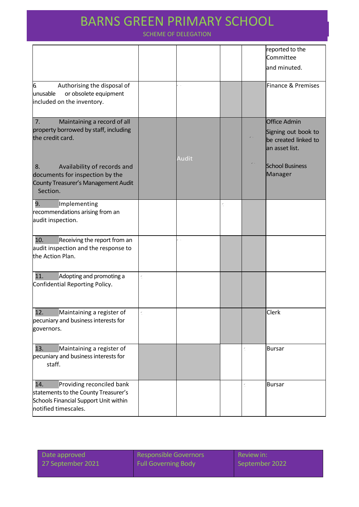### BARNING GIVEEN FINING INTO SCHOOL BARNS GREEN PRIMARY SCHOOL

|                                                                                                                                           |       |   | reported to the<br>Committee<br>and minuted.                                         |
|-------------------------------------------------------------------------------------------------------------------------------------------|-------|---|--------------------------------------------------------------------------------------|
| 6<br>Authorising the disposal of<br>unusable<br>or obsolete equipment<br>included on the inventory.                                       |       |   | Finance & Premises                                                                   |
| 7.<br>Maintaining a record of all<br>property borrowed by staff, including<br>the credit card.                                            | Audit |   | <b>Office Admin</b><br>Signing out book to<br>be created linked to<br>an asset list. |
| Availability of records and<br>8.<br>documents for inspection by the<br>County Treasurer's Management Audit<br>Section.                   |       |   | <b>School Business</b><br>Manager                                                    |
| 9.<br>Implementing<br>recommendations arising from an<br>audit inspection.                                                                |       | Ķ |                                                                                      |
| Receiving the report from an<br>10.<br>audit inspection and the response to<br>the Action Plan.                                           |       |   |                                                                                      |
| Adopting and promoting a<br>11.<br>Confidential Reporting Policy.                                                                         |       |   |                                                                                      |
| 12.<br>Maintaining a register of<br>pecuniary and business interests for<br>governors.                                                    |       |   | Clerk                                                                                |
| Maintaining a register of<br>13.<br>pecuniary and business interests for<br>staff.                                                        |       |   | <b>Bursar</b>                                                                        |
| Providing reconciled bank<br>14.<br>statements to the County Treasurer's<br>Schools Financial Support Unit within<br>notified timescales. |       |   | <b>Bursar</b>                                                                        |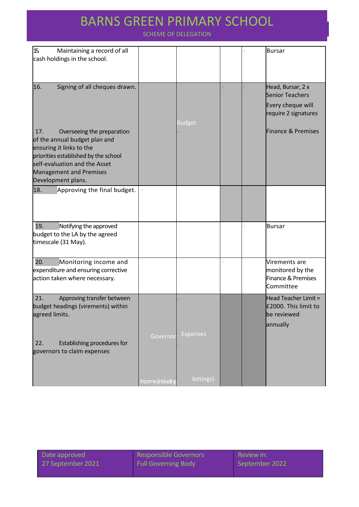### BARNS GREEN PRIMARY SCHOOL BARNS GREEN PRIMARY SCHOOL

| 15<br>Maintaining a record of all    |                  |                 |    | <b>Bursar</b>          |
|--------------------------------------|------------------|-----------------|----|------------------------|
| cash holdings in the school.         |                  |                 |    |                        |
|                                      |                  |                 |    |                        |
|                                      |                  |                 |    |                        |
| 16.<br>Signing of all cheques drawn. |                  |                 | Ý. | Head, Bursar, 2 x      |
|                                      |                  |                 |    | <b>Senior Teachers</b> |
|                                      |                  |                 |    |                        |
|                                      |                  |                 |    | Every cheque will      |
|                                      |                  |                 |    | require 2 signatures   |
|                                      |                  | <b>Budget</b>   |    |                        |
| Overseeing the preparation<br>17.    |                  |                 |    | Finance & Premises     |
| of the annual budget plan and        |                  |                 |    |                        |
| ensuring it links to the             |                  |                 |    |                        |
| priorities established by the school |                  |                 |    |                        |
| self-evaluation and the Asset        |                  |                 |    |                        |
| <b>Management and Premises</b>       |                  |                 |    |                        |
| Development plans.                   |                  |                 |    |                        |
| 18.<br>Approving the final budget.   | v.               |                 |    |                        |
|                                      |                  |                 |    |                        |
|                                      |                  |                 |    |                        |
|                                      |                  |                 |    |                        |
|                                      |                  |                 |    |                        |
| 19.<br>Notifying the approved        |                  |                 |    | <b>Bursar</b>          |
| budget to the LA by the agreed       |                  |                 |    |                        |
| timescale (31 May).                  |                  |                 |    |                        |
|                                      |                  |                 |    |                        |
| 20.<br>Monitoring income and         |                  |                 | Ķ  | Virements are          |
| expenditure and ensuring corrective  |                  |                 |    | monitored by the       |
|                                      |                  |                 |    | Finance & Premises     |
| action taken where necessary.        |                  |                 |    | Committee              |
|                                      |                  |                 |    |                        |
| 21.<br>Approving transfer between    |                  |                 |    | Head Teacher Limit =   |
| budget headings (virements) within   |                  |                 |    | £2000. This limit to   |
| agreed limits.                       |                  |                 |    | be reviewed            |
|                                      |                  |                 |    | annually               |
|                                      |                  |                 |    |                        |
|                                      | Governo          | <b>Expenses</b> |    |                        |
| Establishing procedures for<br>22.   |                  |                 |    |                        |
| governors to claim expenses          |                  |                 |    |                        |
|                                      |                  |                 |    |                        |
|                                      |                  |                 |    |                        |
|                                      |                  | lettings)       |    |                        |
|                                      | Income (includin |                 |    |                        |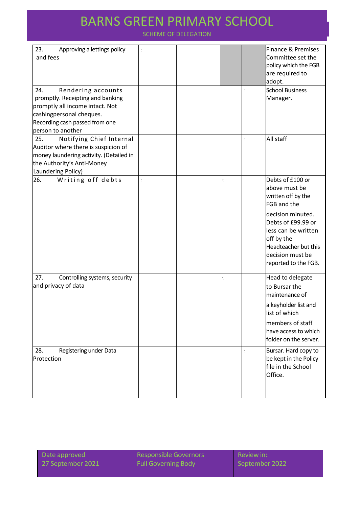# BARNS GREEN PRIMARY SCHOOL BARNS GREEN PRIMARY SCHOOL

| 23.<br>Approving a lettings policy<br>and fees<br>24.<br>Rendering accounts<br>promptly. Receipting and banking<br>promptly all income intact. Not<br>cashingpersonal cheques.<br>Recording cash passed from one |  | $\check{\cdot}$ | <b>Finance &amp; Premises</b><br>Committee set the<br>policy which the FGB<br>are required to<br>adopt.<br><b>School Business</b><br>Manager.                                                                                     |
|------------------------------------------------------------------------------------------------------------------------------------------------------------------------------------------------------------------|--|-----------------|-----------------------------------------------------------------------------------------------------------------------------------------------------------------------------------------------------------------------------------|
| person to another<br>Notifying Chief Internal<br>25.<br>Auditor where there is suspicion of<br>money laundering activity. (Detailed in<br>the Authority's Anti-Money<br>Laundering Policy)                       |  | $\check{\cdot}$ | All staff                                                                                                                                                                                                                         |
| 26.<br>Writing off debts                                                                                                                                                                                         |  |                 | Debts of £100 or<br>above must be<br>written off by the<br><b>FGB</b> and the<br>decision minuted.<br>Debts of £99.99 or<br>less can be written<br>off by the<br>Headteacher but this<br>decision must be<br>reported to the FGB. |
| 27.<br>Controlling systems, security<br>and privacy of data                                                                                                                                                      |  |                 | Head to delegate<br>to Bursar the<br>maintenance of<br>a keyholder list and<br>list of which<br>members of staff<br>have access to which<br>folder on the server.                                                                 |
| 28.<br>Registering under Data<br>Protection                                                                                                                                                                      |  |                 | Bursar. Hard copy to<br>be kept in the Policy<br>file in the School<br>Office.                                                                                                                                                    |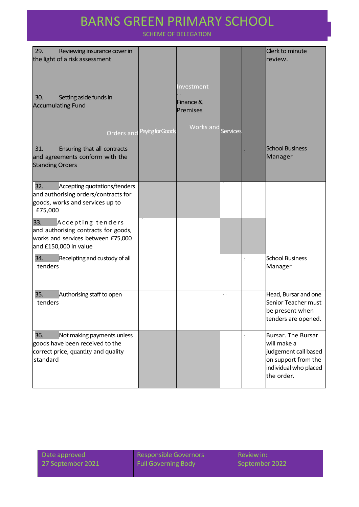## ATARVO GREEN PRIMARY SCHOOL BARNS GREEN PRIMARY SCHOOL

| 29.<br>Reviewing insurance cover in<br>the light of a risk assessment                                                           |                  |                                     |                 |                 | Clerk to minute<br>review.                                                                                                     |
|---------------------------------------------------------------------------------------------------------------------------------|------------------|-------------------------------------|-----------------|-----------------|--------------------------------------------------------------------------------------------------------------------------------|
| 30.<br>Setting aside funds in<br><b>Accumulating Fund</b>                                                                       |                  | Investment<br>Finance &<br>Premises |                 |                 |                                                                                                                                |
| <b>Orders and</b>                                                                                                               | Paying for Goods | Works and                           | <b>Services</b> |                 |                                                                                                                                |
| 31.<br>Ensuring that all contracts<br>and agreements conform with the<br><b>Standing Orders</b>                                 |                  |                                     |                 |                 | <b>School Business</b><br>Manager                                                                                              |
| 32.<br>Accepting quotations/tenders<br>and authorising orders/contracts for<br>goods, works and services up to<br>£75,000       |                  |                                     |                 |                 |                                                                                                                                |
| 33.<br>Accepting tenders<br>and authorising contracts for goods,<br>works and services between £75,000<br>and £150,000 in value |                  |                                     |                 |                 |                                                                                                                                |
| 34.<br>Receipting and custody of all<br>tenders                                                                                 |                  |                                     |                 | Ý,              | <b>School Business</b><br>Manager                                                                                              |
| 35.<br>Authorising staff to open<br>tenders                                                                                     |                  |                                     | $\checkmark$ .  |                 | Head, Bursar and one<br>Senior Teacher must<br>be present when<br>tenders are opened.                                          |
| 36.<br>Not making payments unless<br>goods have been received to the<br>correct price, quantity and quality<br>standard         |                  |                                     |                 | $\check{\cdot}$ | <b>Bursar. The Bursar</b><br>will make a<br>judgement call based<br>on support from the<br>individual who placed<br>the order. |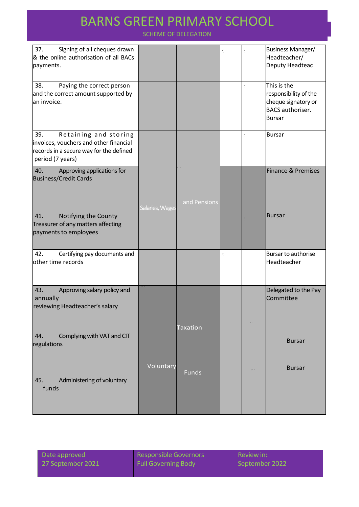## ATARVO GREEN PRIMARY SCHOOL BARNS GREEN PRIMARY SCHOOL

| 37.<br>Signing of all cheques drawn<br>& the online authorisation of all BACs<br>payments.                                            |                 |                 |    |    | Business Manager/<br>Headteacher/<br>Deputy Headteac                                                    |
|---------------------------------------------------------------------------------------------------------------------------------------|-----------------|-----------------|----|----|---------------------------------------------------------------------------------------------------------|
| 38.<br>Paying the correct person<br>and the correct amount supported by<br>an invoice.                                                |                 |                 |    | Ý. | This is the<br>responsibility of the<br>cheque signatory or<br><b>BACS</b> authoriser.<br><b>Bursar</b> |
| 39.<br>Retaining and storing<br>invoices, vouchers and other financial<br>records in a secure way for the defined<br>period (7 years) |                 |                 |    | Ý. | <b>Bursar</b>                                                                                           |
| 40.<br>Approving applications for<br><b>Business/Credit Cards</b>                                                                     |                 | and Pensions    |    |    | Finance & Premises                                                                                      |
| Notifying the County<br>41.<br>Treasurer of any matters affecting<br>payments to employees                                            | Salaries, Wages |                 |    |    | <b>Bursar</b>                                                                                           |
| 42.<br>Certifying pay documents and<br>other time records                                                                             |                 |                 | Ý. |    | Bursar to authorise<br>Headteacher                                                                      |
| 43.<br>Approving salary policy and<br>annually<br>reviewing Headteacher's salary                                                      |                 |                 |    |    | Delegated to the Pay<br>Committee                                                                       |
| Complying with VAT and CIT<br>44.<br>regulations                                                                                      |                 | <b>Taxation</b> |    |    | <b>Bursar</b>                                                                                           |
| Administering of voluntary<br>45.<br>funds                                                                                            | Voluntary       | <b>Funds</b>    |    |    | <b>Bursar</b>                                                                                           |